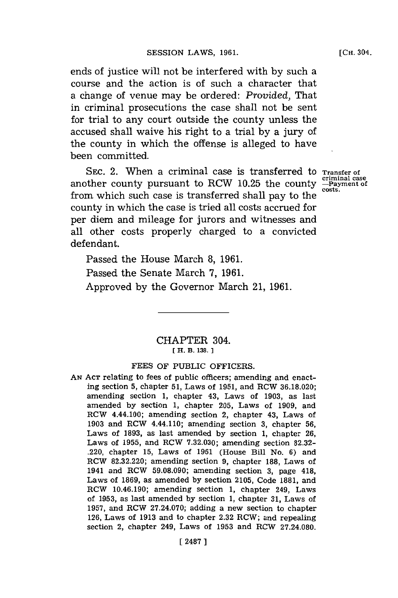ends of justice will not be interfered with **by** such a course and the action is of such a character that a change of venue may be ordered: *Provided,* That in criminal prosecutions the case shall not be sent for trial to any court outside the county unless the accused shall waive his right to a trial **by** a jury of the county in which the offense is alleged to have been committed.

SEC. 2. When a criminal case is transferred to **Transfer** of another county pursuant to RCW 10.25 the county  $\frac{\text{c}{\text{c}}}{\text{c}_{\text{G}}}}$ from which such case is transferred shall pay to the county in which the case is tried all costs accrued for per diem and mileage for jurors and witnesses and all other costs properly charged to a convicted defendant.

Passed the House March **8, 1961.** Passed the Senate March **7, 1961.** Approved **by** the Governor March 21, **1961.**

> CHAPTER 304. **fH. B. 138. 1**

## **FEES** OF **PUBLIC** OFFICERS.

**AN ACT** relating to fees of public officers; amending and enacting section **5,** chapter **51,** Laws of **1951,** and RCW **36.18.020;** amending section **1,** chapter 43, Laws of **1903,** as last amended **by** section **1,** chapter **205,** Laws of **1909,** and RCW 4.44.100; amending section 2, chapter 43, Laws of **1903** and RCW 4.44.110; amending section **3,** chapter **56,** Laws of **1893,** as last amended **by** section **1,** chapter **26,** Laws of **1955,** and RCW **7.32.030;** amending section **82.32-** .220, chapter **15,** Laws of **1961** (House Bill No. **6)** and RCW **82.32.220;** amending section **9,** chapter **188,** Laws of 1941 and RCW **59.08.090;** amending section **3,** page 418, Laws of **1869,** as amended **by** section **2105,** Code **1881,** and RCW 10.46.190; amending section **1,** chapter 249, Laws of **1953,** as last amended **by** section **1,** chapter **31,** Laws of **1957,** and RCW **27.24.070;** adding a new section to chapter **126,** Laws of **1913** and to chapter **2.32** RCV.; and repealing section 2, chapter 249, Laws of **1953** and RCW 27.24.080.

**criminal case**

**[CH.** 304.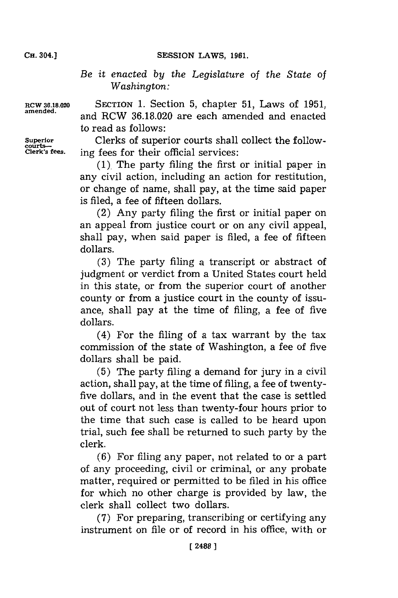SESSION LAWS, 1961.

*Be it enacted by the Legislature of the State of Washington:*

**courts-**

**RCW 36.18.020 SECTION 1.** Section **5,** chapter **51,** Laws of **1951, amended,** and RCW **36.18.020** are each amended and enacted to read as follows:

**Superior** Clerks of superior courts shall collect the following fees for their official services:

> **(1).** The party filing the first or initial paper in any civil action, including an action for restitution, or change of name, shall pay, at the time said paper is filed, a fee of fifteen dollars.

> (2) Any party filing the first or initial paper on an appeal from justice court or on any civil appeal, shall pay, when said paper is filed, a fee of fifteen dollars.

> **(3)** The party filing a transcript or abstract of judgment or verdict from a United States court held in this state, or from the superior court of another county or from a justice court in the county of issuance, shall pay at the time of filing, a fee of five dollars.

> (4) For the filing of a tax warrant **by** the tax commission of the state of Washington, a fee of five dollars shall be paid.

> **(5)** The party filing a demand for jury in a civil action, shall pay, at the time of filing, a fee of twentyfive dollars, and in the event that the case is settled out of court not less than twenty-four hours prior to the time that such case is called to be heard upon trial, such fee shall be returned to such party **by** the clerk.

> **(6)** For filing any paper, not related to or a part of any proceeding, civil or criminal, or any probate matter, required or permitted to be filed in his office for which no other charge is provided by law, the clerk shall collect two dollars.

> **(7)** For preparing, transcribing or certifying any instrument on file or of record in his office, with or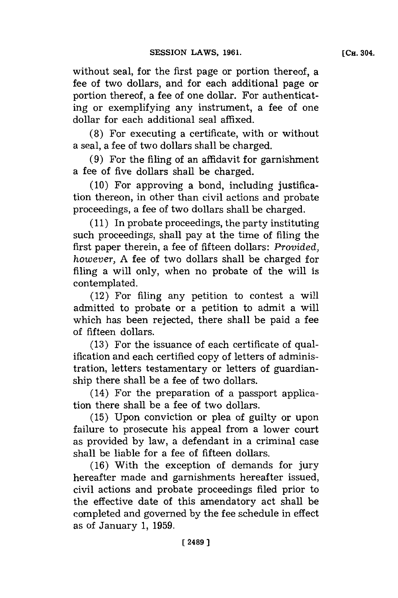without seal, for the first page or portion thereof, a fee of two dollars, and for each additional page or portion thereof, a fee of one dollar. For authenticating or exemplifying any instrument, a fee of one dollar for each additional seal affixed.

**(8)** For executing a certificate, with or without a seal, a fee of two dollars shall be charged.

**(9)** For the filing of an affidavit for garnishment a fee of five dollars shall be charged.

**(10)** For approving a bond, including justification thereon, in other than civil actions and probate proceedings, a fee of two dollars shall be charged.

**(11)** In probate proceedings, the party instituting such proceedings, shall pay at the time of filing the first paper therein, a fee of fifteen dollars: *Provided, however, A fee of two dollars shall be charged for* filing a will only, when no probate of the will is contemplated.

(12) For filing any petition to contest a will admitted to probate or a petition to admit a will which has been rejected, there shall be paid a fee of fifteen dollars.

**(13)** For the issuance of each certificate of qualification and each certified copy of letters of administration, letters testamentary or letters of guardianship there shall be a fee of two dollars.

(14) For the preparation of a passport application there shall be a fee of two dollars.

**(15)** Upon conviction or plea of guilty or upon failure to prosecute his appeal from a lower court as provided **by** law, a defendant in a criminal case shall be liable for a fee of fifteen dollars.

**(16)** With the exception of demands for jury hereafter made and garnishments hereafter issued, civil actions and probate proceedings filed prior to the effective date of this amendatory act shall be completed and governed by the fee schedule in effect as of January **1, 1959.**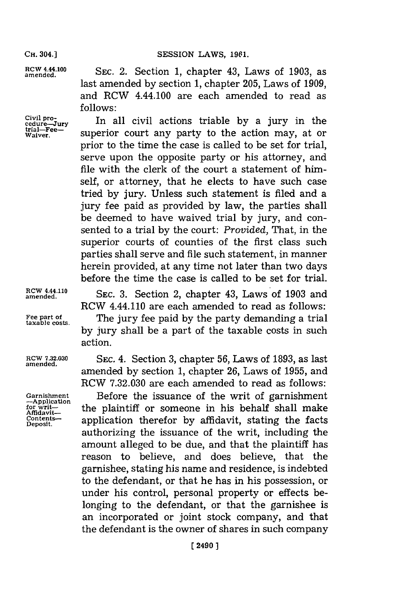## **CH. 304.] SESSION LAWS, 1961.**

**RCW 4.44.100** SEC. 2. Section 1, chapter 43, Laws of 1903, as last amended **by** section **1,** chapter **205,** Laws of **1909,** and RCW 4.44.100 are each amended to read as

Civil pro-<br>
<u>cedure-Jury</u> **Inall civil actions triable by a jury in the**<br> **trial-Fee- and continues** and the setting were at an trial—Fee— superior court any party to the action may, at or prior to the time the case is called to be set for trial, serve upon the opposite party or his attorney, and file with the clerk of the court a statement of himself, or attorney, that he elects to have such case tried **by** jury. Unless such statement is filed and a jury fee paid as provided **by** law, the parties shall be deemed to have waived trial **by** jury, and consented to a trial **by** the court: *Provided,* That, in the superior courts of counties of the first class such parties shall serve and file such statement, in manner herein provided, at any time not later than two days before the time the case is called to be set for trial.

> **amended. SEC. 3.** Section 2, chapter 43, Laws of **1903** and RCW 4.44.110 are each amended to read as follows:

Fee part of **The jury fee paid by the party demanding a trial** taxable costs. **by** jury shall be a part of the taxable costs in such action.

**ROW 7.32.030 SEC.** 4. Section **3,** chapter **56,** Laws of **1893,** as last amended **by** section **1,** chapter **26,** Laws of **1955,** and RCW **7.32.030** are each amended to read as follows:

Garnishment **Before the issuance of the writ of garnishment**<br>  $\frac{\text{Amidavit}}{\text{Amidavit}}}$  the plaintiff or someone in his behalf shall make **Ceotns** application therefor **by** affidavit, stating the facts authorizing the issuance of the writ, including the amount alleged to be due, and that the plaintiff has reason to believe, and does believe, that the garnishee, stating his name and residence, is indebted to the defendant, or that he has in his possession, or under his control, personal property or effects belonging to the defendant, or that the garnishee is an incorporated or joint stock company, and that the defendant is the owner of shares in such company

**follows:**

**RCW 4.44.110**

**amended.**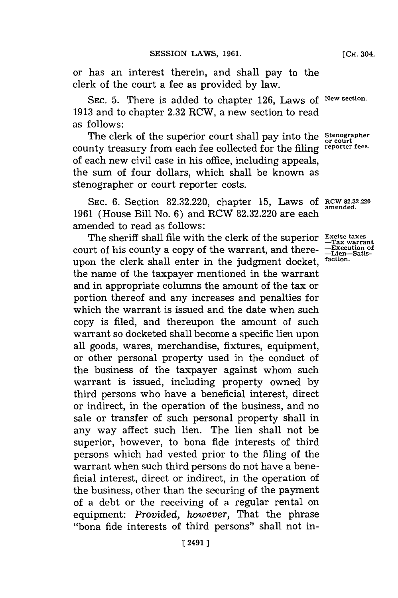or has an interest therein, and shall pay to the clerk of the court a fee as provided **by** law.

SEc. **5.** There is added to chapter **126,** Laws of **New section. 1913** and to chapter **2.32** RCW, a new section to read as follows:

The clerk of the superior court shall pay into the *Stenographer*<br>county treasury from each fee collected for the filing *reporter fees*. of each new civil case in his office, including appeals, the sum of four dollars, which shall be known as stenographer or court reporter costs.

**SEC. 6.** Section **82.32.220,** chapter **15,** Laws **of RCW 82.32.220 1961** (House Bill No. **6)** and RCW **82.32.220** are each amended to read as follows:

The sheriff shall file with the clerk of the superior **Excise taxes** court of his county a copy of the warrant, and there- **-Execution of** upon the clerk shall enter in the judgment docket, **faction.** the name of the taxpayer mentioned in the warrant and in appropriate columns the amount of the tax or portion thereof and any increases and penalties for which the warrant is issued and the date when such copy is filed, and thereupon the amount of such warrant so docketed shall become a specific lien upon all goods, wares, merchandise, fixtures, equipment, or other personal property used in the conduct of the business of the taxpayer against whom such warrant is issued, including property owned **by** third persons who have a beneficial interest, direct or indirect, in the operation of the business, and no sale or transfer of such personal property shall in any way affect such lien. The lien shall not be superior, however, to bona fide interests of third persons which had vested prior to the filing of the warrant when such third persons do not have a beneficial interest, direct or indirect, in the operation of the business, other than the securing of the payment of a debt or the receiving of a regular rental on equipment: *Provided, however,* That the phrase "bona fide interests of third persons" shall not in-

**amended,**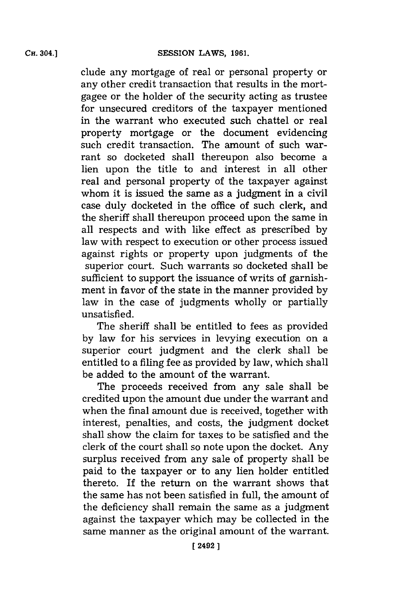clude any mortgage of real or personal property or any other credit transaction that results in the mortgagee or the holder of the security acting as trustee for unsecured creditors of the taxpayer mentioned in the warrant who executed such chattel or real property mortgage or the document evidencing such credit transaction. The amount of such warrant so docketed shall thereupon also become a lien upon the title to and interest in all other real and personal property of the taxpayer against whom it is issued the same as a judgment in a civil case duly docketed in the office of such clerk, and the sheriff shall thereupon proceed upon the same in all respects and with like effect as prescribed **by** law with respect to execution or other process issued against rights or property upon judgments of the superior court. Such warrants so docketed shall be sufficient to support the issuance of writs of garnishment in favor of the state in the manner provided **by** law in the case of judgments wholly or partially unsatisfied.

The sheriff shall be entitled to fees as provided **by** law for his services in levying execution on a superior court judgment and the clerk shall be entitled to a filing fee as provided **by** law, which shall be added to the amount of the warrant.

The proceeds received from any sale shall be credited upon the amount due under the warrant and when the final amount due is received, together with interest, penalties, and costs, the judgment docket shall show the claim for taxes to be satisfied and the clerk of the court shall so note upon the docket. Any surplus received from any sale of property shall be paid to the taxpayer or to any lien holder entitled thereto. **If** the return on the warrant shows that the same has not been satisfied in full, the amount of the deficiency shall remain the same as a judgment against the taxpayer which may be collected in the same manner as the original amount of the warrant.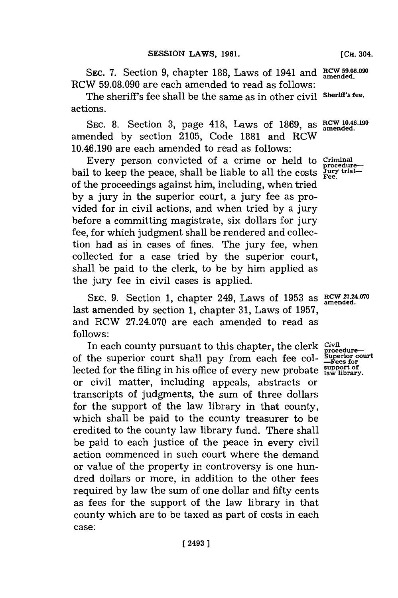SEC. 7. Section 9, chapter 188, Laws of 1941 and **RCW** 59.08.090 RCW **59.08.090** are each amended to read as follows:

The sheriff's fee shall be the same as in other civil **Sheriff's fee.** actions.

**SEC. 8.** Section **3,** page 418, Laws of **1869,** as **RCW 10.46.190 amended.** amended **by** section **2105,** Code **1881** and RCW 10.46.190 are each amended to read as follows:

Every person convicted of a crime or held to **Criminal** to keep the peace, shall be liable to all the costs  $\frac{J_{\text{UTV}}}{\text{Fee}}$ bail to keep the peace, shall be liable to all the costs of the proceedings against him, including, when tried **by** a jury in the superior court, a jury fee as provided for in civil actions, and when tried **by** a jury before a committing magistrate, six dollars for jury fee, for which judgment shall be rendered and collection had as in cases of fines. The jury fee, when collected for a case tried **by** the superior court, shall be paid to the clerk, to be **by** him applied as the jury fee in civil cases is applied.

SEC. 9. Section 1, chapter 249, Laws of 1953 as RCW 27.24.070 last amended **by** section **1,** chapter **31,** Laws of **1957,** and RCW **27.24.070** are each amended to read as **follows:**

In each county pursuant to this chapter, the clerk civil of the superior court shall pay from each fee col-<sup>E</sup>**rocedure- uperlor court -Fees for** lected for the filing in his office of every new probate **support of law library.** or civil matter, including appeals, abstracts or transcripts of judgments, the sum of three dollars for the support of the law library in that county, which shall be paid to the county treasurer to be credited to the county law library fund. There shall be paid to each justice of the peace in every civil action commenced in such court where the demand or value of the property in controversy is one hundred dollars or more, in addition to the other fees required **by** law the sum of one dollar and fifty cents as fees for the support of the law library in that county which are to be taxed as part of costs in each case:

**amended.**